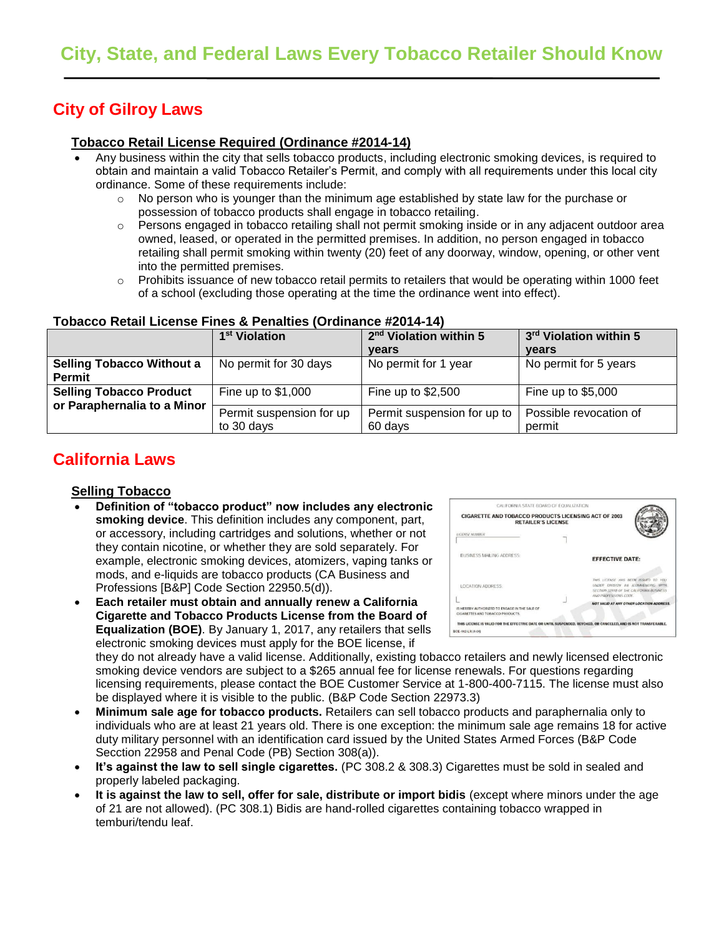# **City of Gilroy Laws**

### **Tobacco Retail License Required (Ordinance #2014-14)**

- Any business within the city that sells tobacco products, including electronic smoking devices, is required to obtain and maintain a valid Tobacco Retailer's Permit, and comply with all requirements under this local city ordinance. Some of these requirements include:
	- $\circ$  No person who is younger than the minimum age established by state law for the purchase or possession of tobacco products shall engage in tobacco retailing.
	- $\circ$  Persons engaged in tobacco retailing shall not permit smoking inside or in any adjacent outdoor area owned, leased, or operated in the permitted premises. In addition, no person engaged in tobacco retailing shall permit smoking within twenty (20) feet of any doorway, window, opening, or other vent into the permitted premises.
	- o Prohibits issuance of new tobacco retail permits to retailers that would be operating within 1000 feet of a school (excluding those operating at the time the ordinance went into effect).

|                                                               | 1 <sup>st</sup> Violation              | 2 <sup>nd</sup> Violation within 5     | 3rd Violation within 5           |  |
|---------------------------------------------------------------|----------------------------------------|----------------------------------------|----------------------------------|--|
|                                                               |                                        | <b>vears</b>                           | years                            |  |
| <b>Selling Tobacco Without a</b><br><b>Permit</b>             | No permit for 30 days                  | No permit for 1 year                   | No permit for 5 years            |  |
| <b>Selling Tobacco Product</b><br>or Paraphernalia to a Minor | Fine up to $$1,000$                    | Fine up to $$2,500$                    | Fine up to $$5,000$              |  |
|                                                               | Permit suspension for up<br>to 30 days | Permit suspension for up to<br>60 days | Possible revocation of<br>permit |  |

#### **Tobacco Retail License Fines & Penalties (Ordinance #2014-14)**

# **California Laws**

#### **Selling Tobacco**

- **Definition of "tobacco product" now includes any electronic smoking device**. This definition includes any component, part, or accessory, including cartridges and solutions, whether or not they contain nicotine, or whether they are sold separately. For example, electronic smoking devices, atomizers, vaping tanks or mods, and e-liquids are tobacco products (CA Business and Professions [B&P] Code Section 22950.5(d)).
- **Each retailer must obtain and annually renew a California Cigarette and Tobacco Products License from the Board of Equalization (BOE)**. By January 1, 2017, any retailers that sells electronic smoking devices must apply for the BOE license, if

| <b>CIGARETTE AND TOBACCO PRODUCTS LICENSING ACT OF 2003</b><br><b>RETAILER'S LICENSE</b> |                                                                                                                                               |  |
|------------------------------------------------------------------------------------------|-----------------------------------------------------------------------------------------------------------------------------------------------|--|
| <b>LICENSE NUMBER</b>                                                                    |                                                                                                                                               |  |
| BUSINESS MAILING ADDRESS:                                                                | <b>EFFECTIVE DATE:</b>                                                                                                                        |  |
| LOCATION ADDRESS:                                                                        | THIS LICENSE HAS BEEN ISSUED TO YOU<br>UNDER DIVISION RE KOMMENCING WITH<br>SECTION 32970 OF THE CALIFORNIA BUSINESS<br>AND PROFESSIONS CODE. |  |
| IS HEREBY AUTHORIZED TO ENGAGE IN THE SALE OF<br>CIGARETTES AND TOBACCO PRODUCTS.        | <b>NOT VALID AT ANY OTHER LOCATION ADDRESS</b>                                                                                                |  |

they do not already have a valid license. Additionally, existing tobacco retailers and newly licensed electronic smoking device vendors are subject to a \$265 annual fee for license renewals. For questions regarding licensing requirements, please contact the BOE Customer Service at 1-800-400-7115. The license must also be displayed where it is visible to the public. (B&P Code Section 22973.3)

- **Minimum sale age for tobacco products.** Retailers can sell tobacco products and paraphernalia only to individuals who are at least 21 years old. There is one exception: the minimum sale age remains 18 for active duty military personnel with an identification card issued by the United States Armed Forces (B&P Code Secction 22958 and Penal Code (PB) Section 308(a)).
- **It's against the law to sell single cigarettes.** (PC 308.2 & 308.3) Cigarettes must be sold in sealed and properly labeled packaging.
- **It is against the law to sell, offer for sale, distribute or import bidis** (except where minors under the age of 21 are not allowed). (PC 308.1) Bidis are hand-rolled cigarettes containing tobacco wrapped in temburi/tendu leaf.